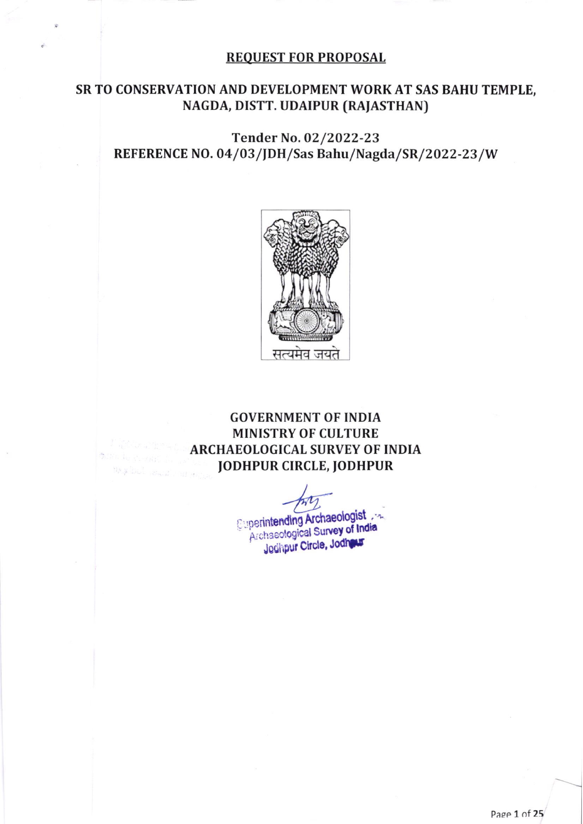#### REQUEST FOR PROPOSAL

### SR TO CONSERVATION AND DEVELOPMENT WORK AT SAS BAHU TEMPLE, NAGDA, DISTT. UDAIPUR (RAJASTHAN)

# Tender No.O2/2022-23 REFERENCE NO. 04/03/JDH/Sas Bahu/Nagda/SR/2022-23/W



# GOVERNMENT OF INDIA MINISTRY OF CULTURE ARCHAEOLOGICAL SURVEY OF INDIA JODHPUR CIRCLE, JODHPUR

**Cuperintending Archaeologist** Jedhpur Circle, Jodhawr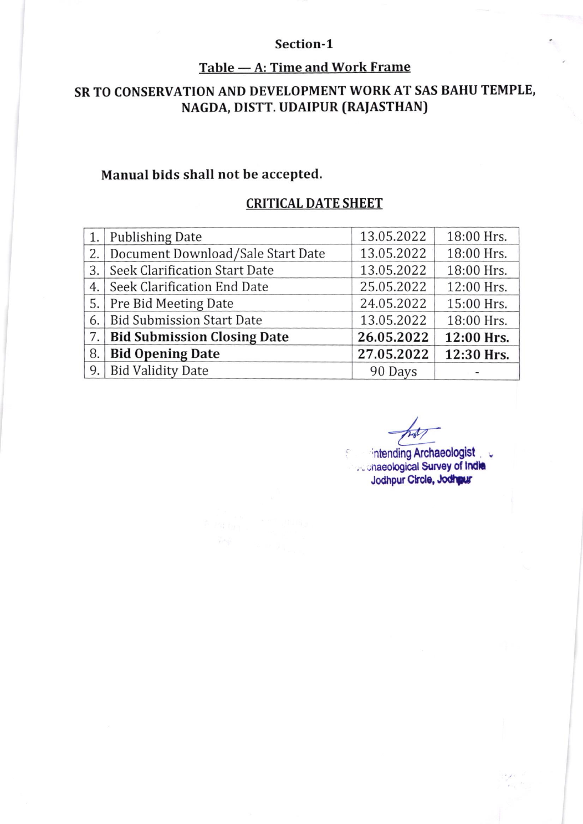### Section-1

## Table — A: Time and Work Frame

# SR TO CONSERVATION AND DEVELOPMENT WORKAT SAS BAHU TEMPLE, NAGDA, DISTT. UDAIPUR (RAJASTHAN)

# Manual bids shall not be accepted.

## CRITICAL DATE SHEET

| 1. | Publishing Date                      | 13.05.2022 | 18:00 Hrs. |
|----|--------------------------------------|------------|------------|
| 2. | Document Download/Sale Start Date    | 13.05.2022 | 18:00 Hrs. |
| 3. | <b>Seek Clarification Start Date</b> | 13.05.2022 | 18:00 Hrs. |
| 4. | Seek Clarification End Date          | 25.05.2022 | 12:00 Hrs. |
| 5. | <b>Pre Bid Meeting Date</b>          | 24.05.2022 | 15:00 Hrs. |
| 6. | <b>Bid Submission Start Date</b>     | 13.05.2022 | 18:00 Hrs. |
| 7. | <b>Bid Submission Closing Date</b>   | 26.05.2022 | 12:00 Hrs. |
| 8. | <b>Bid Opening Date</b>              | 27.05.2022 | 12:30 Hrs. |
| 9. | <b>Bid Validity Date</b>             | 90 Days    |            |

intending Archaeologist ... ... naeological Survey of India Jodhpur Circle, Jodhpur

 $\zeta$